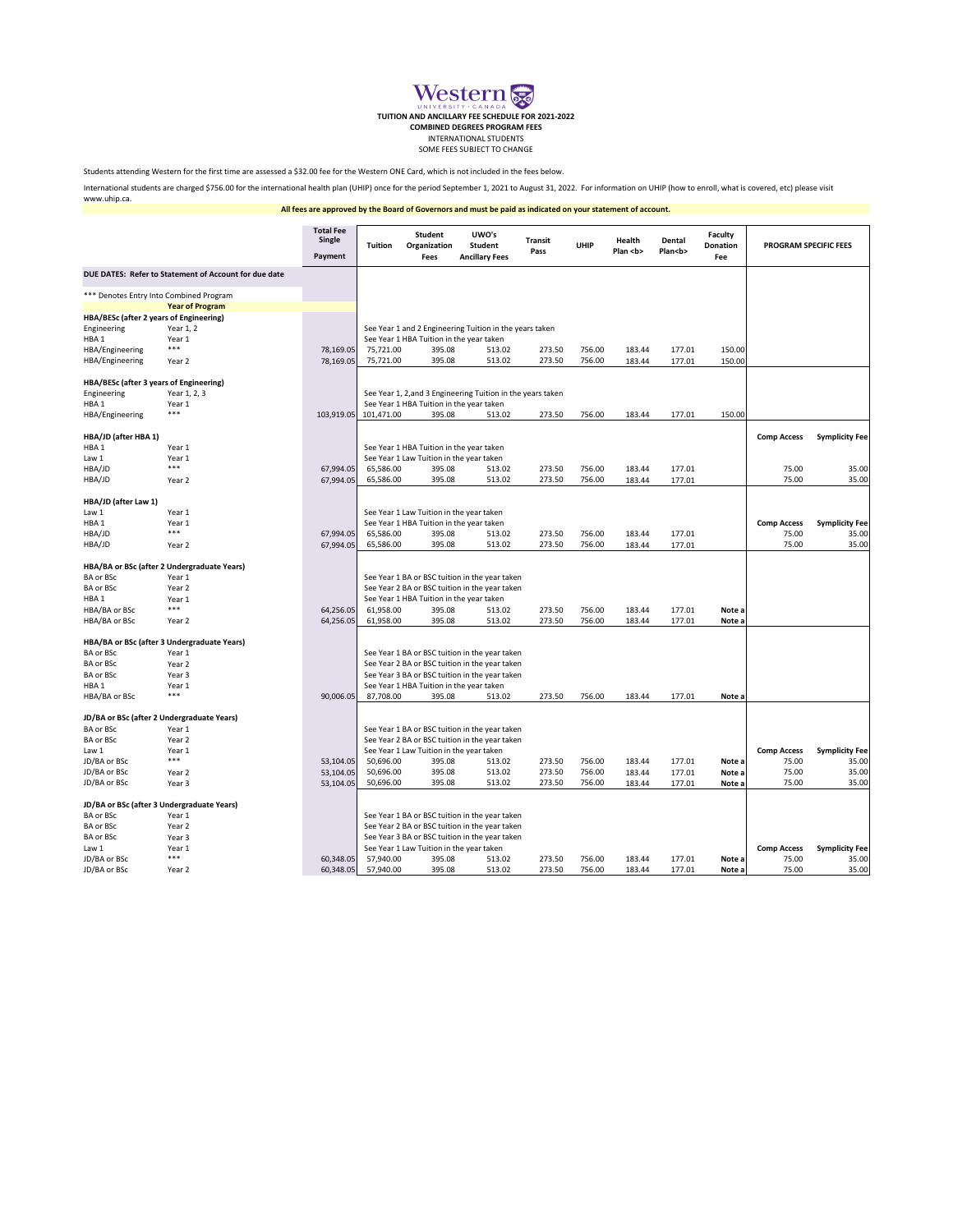|                                             |                                                       | <b>Total Fee</b><br><b>Single</b><br>Payment | <b>Tuition</b>                                              | <b>Student</b><br>Organization<br><b>Fees</b> | UWO's<br><b>Student</b><br><b>Ancillary Fees</b>        | <b>Transit</b><br>Pass | <b>UHIP</b> | <b>Health</b><br>Plan <b></b> | <b>Dental</b><br>Plan <b></b> | <b>Faculty</b><br><b>Donation</b><br>Fee | <b>PROGRAM SPECIFIC FEES</b> |                       |
|---------------------------------------------|-------------------------------------------------------|----------------------------------------------|-------------------------------------------------------------|-----------------------------------------------|---------------------------------------------------------|------------------------|-------------|-------------------------------|-------------------------------|------------------------------------------|------------------------------|-----------------------|
|                                             | DUE DATES: Refer to Statement of Account for due date |                                              |                                                             |                                               |                                                         |                        |             |                               |                               |                                          |                              |                       |
| *** Denotes Entry Into Combined Program     |                                                       |                                              |                                                             |                                               |                                                         |                        |             |                               |                               |                                          |                              |                       |
|                                             | <b>Year of Program</b>                                |                                              |                                                             |                                               |                                                         |                        |             |                               |                               |                                          |                              |                       |
| HBA/BESc (after 2 years of Engineering)     |                                                       |                                              |                                                             |                                               |                                                         |                        |             |                               |                               |                                          |                              |                       |
| Engineering                                 | Year 1, 2                                             |                                              |                                                             |                                               | See Year 1 and 2 Engineering Tuition in the years taken |                        |             |                               |                               |                                          |                              |                       |
| HBA <sub>1</sub>                            | Year 1                                                |                                              |                                                             | See Year 1 HBA Tuition in the year taken      |                                                         |                        |             |                               |                               |                                          |                              |                       |
| HBA/Engineering                             | ***                                                   | 78,169.05                                    | 75,721.00                                                   | 395.08                                        | 513.02                                                  | 273.50                 | 756.00      | 183.44                        | 177.01                        | 150.00                                   |                              |                       |
| HBA/Engineering                             | Year 2                                                | 78,169.05                                    | 75,721.00                                                   | 395.08                                        | 513.02                                                  | 273.50                 | 756.00      | 183.44                        | 177.01                        | 150.00                                   |                              |                       |
| HBA/BESc (after 3 years of Engineering)     |                                                       |                                              |                                                             |                                               |                                                         |                        |             |                               |                               |                                          |                              |                       |
| Engineering                                 | Year 1, 2, 3                                          |                                              | See Year 1, 2, and 3 Engineering Tuition in the years taken |                                               |                                                         |                        |             |                               |                               |                                          |                              |                       |
| HBA <sub>1</sub>                            | Year 1                                                |                                              | See Year 1 HBA Tuition in the year taken                    |                                               |                                                         |                        |             |                               |                               |                                          |                              |                       |
| HBA/Engineering                             | ***                                                   |                                              | 103,919.05 101,471.00                                       | 395.08                                        | 513.02                                                  | 273.50                 | 756.00      | 183.44                        | 177.01                        | 150.00                                   |                              |                       |
| HBA/JD (after HBA 1)                        |                                                       |                                              |                                                             |                                               |                                                         |                        |             |                               |                               |                                          | <b>Comp Access</b>           | <b>Symplicity Fee</b> |
| HBA <sub>1</sub>                            | Year 1                                                |                                              |                                                             | See Year 1 HBA Tuition in the year taken      |                                                         |                        |             |                               |                               |                                          |                              |                       |
| Law 1                                       | Year 1                                                |                                              |                                                             | See Year 1 Law Tuition in the year taken      |                                                         |                        |             |                               |                               |                                          |                              |                       |
| HBA/JD                                      | ***                                                   | 67,994.05                                    | 65,586.00                                                   | 395.08                                        | 513.02                                                  | 273.50                 | 756.00      | 183.44                        | 177.01                        |                                          | 75.00                        | 35.00                 |
| HBA/JD                                      | Year 2                                                | 67,994.05                                    | 65,586.00                                                   | 395.08                                        | 513.02                                                  | 273.50                 | 756.00      | 183.44                        | 177.01                        |                                          | 75.00                        | 35.00                 |
| HBA/JD (after Law 1)                        |                                                       |                                              |                                                             |                                               |                                                         |                        |             |                               |                               |                                          |                              |                       |
| Law 1                                       | Year 1                                                |                                              |                                                             | See Year 1 Law Tuition in the year taken      |                                                         |                        |             |                               |                               |                                          |                              |                       |
| HBA <sub>1</sub>                            | Year 1                                                |                                              |                                                             | See Year 1 HBA Tuition in the year taken      |                                                         |                        |             |                               |                               |                                          | <b>Comp Access</b>           | <b>Symplicity Fee</b> |
| HBA/JD                                      | ***                                                   | 67,994.05                                    | 65,586.00                                                   | 395.08                                        | 513.02                                                  | 273.50                 | 756.00      | 183.44                        | 177.01                        |                                          | 75.00                        | 35.00                 |
| HBA/JD                                      | Year 2                                                | 67,994.05                                    | 65,586.00                                                   | 395.08                                        | 513.02                                                  | 273.50                 | 756.00      | 183.44                        | 177.01                        |                                          | 75.00                        | 35.00                 |
|                                             | HBA/BA or BSc (after 2 Undergraduate Years)           |                                              |                                                             |                                               |                                                         |                        |             |                               |                               |                                          |                              |                       |
| <b>BA or BSc</b>                            | Year 1                                                |                                              |                                                             |                                               | See Year 1 BA or BSC tuition in the year taken          |                        |             |                               |                               |                                          |                              |                       |
| <b>BA or BSc</b>                            | Year 2                                                |                                              | See Year 2 BA or BSC tuition in the year taken              |                                               |                                                         |                        |             |                               |                               |                                          |                              |                       |
| HBA <sub>1</sub>                            | Year 1                                                |                                              |                                                             | See Year 1 HBA Tuition in the year taken      |                                                         |                        |             |                               |                               |                                          |                              |                       |
| HBA/BA or BSc                               | ***                                                   | 64,256.05                                    | 61,958.00                                                   | 395.08                                        | 513.02                                                  | 273.50                 | 756.00      | 183.44                        | 177.01                        | Note a                                   |                              |                       |
| HBA/BA or BSc                               | Year 2                                                | 64,256.05                                    | 61,958.00                                                   | 395.08                                        | 513.02                                                  | 273.50                 | 756.00      | 183.44                        | 177.01                        | Note a                                   |                              |                       |
| HBA/BA or BSc (after 3 Undergraduate Years) |                                                       |                                              |                                                             |                                               |                                                         |                        |             |                               |                               |                                          |                              |                       |
| <b>BA or BSc</b>                            | Year 1                                                |                                              |                                                             |                                               | See Year 1 BA or BSC tuition in the year taken          |                        |             |                               |                               |                                          |                              |                       |
| <b>BA or BSc</b>                            | Year 2                                                |                                              |                                                             |                                               | See Year 2 BA or BSC tuition in the year taken          |                        |             |                               |                               |                                          |                              |                       |
| <b>BA or BSc</b>                            | Year 3                                                |                                              |                                                             |                                               | See Year 3 BA or BSC tuition in the year taken          |                        |             |                               |                               |                                          |                              |                       |
| HBA <sub>1</sub>                            | Year 1                                                |                                              |                                                             | See Year 1 HBA Tuition in the year taken      |                                                         |                        |             |                               |                               |                                          |                              |                       |
| HBA/BA or BSc                               | ***                                                   | 90,006.05                                    | 87,708.00                                                   | 395.08                                        | 513.02                                                  | 273.50                 | 756.00      | 183.44                        | 177.01                        | Note a                                   |                              |                       |
|                                             | JD/BA or BSc (after 2 Undergraduate Years)            |                                              |                                                             |                                               |                                                         |                        |             |                               |                               |                                          |                              |                       |
| <b>BA or BSc</b>                            | Year 1                                                |                                              |                                                             |                                               | See Year 1 BA or BSC tuition in the year taken          |                        |             |                               |                               |                                          |                              |                       |
| <b>BA or BSc</b>                            | Year 2                                                |                                              |                                                             |                                               | See Year 2 BA or BSC tuition in the year taken          |                        |             |                               |                               |                                          |                              |                       |
| Law 1                                       | Year 1                                                |                                              |                                                             | See Year 1 Law Tuition in the year taken      |                                                         |                        |             |                               |                               |                                          | <b>Comp Access</b>           | <b>Symplicity Fee</b> |
| JD/BA or BSc                                | ***                                                   | 53,104.05                                    | 50,696.00                                                   | 395.08                                        | 513.02                                                  | 273.50                 | 756.00      | 183.44                        | 177.01                        | Note a                                   | 75.00                        | 35.00                 |
| JD/BA or BSc                                | Year 2                                                | 53,104.05                                    | 50,696.00                                                   | 395.08                                        | 513.02                                                  | 273.50                 | 756.00      | 183.44                        | 177.01                        | Note a                                   | 75.00                        | 35.00                 |
| JD/BA or BSc                                | Year 3                                                | 53,104.05                                    | 50,696.00                                                   | 395.08                                        | 513.02                                                  | 273.50                 | 756.00      | 183.44                        | 177.01                        | Note a                                   | 75.00                        | 35.00                 |
|                                             | JD/BA or BSc (after 3 Undergraduate Years)            |                                              |                                                             |                                               |                                                         |                        |             |                               |                               |                                          |                              |                       |
| <b>BA or BSc</b>                            | Year 1                                                |                                              | See Year 1 BA or BSC tuition in the year taken              |                                               |                                                         |                        |             |                               |                               |                                          |                              |                       |
| <b>BA or BSc</b>                            | Year 2                                                |                                              | See Year 2 BA or BSC tuition in the year taken              |                                               |                                                         |                        |             |                               |                               |                                          |                              |                       |
| <b>BA or BSc</b>                            | Year 3                                                |                                              |                                                             |                                               | See Year 3 BA or BSC tuition in the year taken          |                        |             |                               |                               |                                          |                              |                       |
| Law 1                                       | Year 1                                                |                                              |                                                             | See Year 1 Law Tuition in the year taken      |                                                         |                        |             |                               |                               |                                          | <b>Comp Access</b>           | <b>Symplicity Fee</b> |
| JD/BA or BSc                                | ***                                                   | 60,348.05                                    | 57,940.00                                                   | 395.08                                        | 513.02                                                  | 273.50                 | 756.00      | 183.44                        | 177.01                        | Note a                                   | 75.00                        | 35.00                 |
| JD/BA or BSc                                | Year 2                                                | 60,348.05                                    | 57,940.00                                                   | 395.08                                        | 513.02                                                  | 273.50                 | 756.00      | 183.44                        | 177.01                        | Note a                                   | 75.00                        | 35.00                 |



International students are charged \$756.00 for the international health plan (UHIP) once for the period September 1, 2021 to August 31, 2022. For information on UHIP (how to enroll, what is covered, etc) please visit www.uhip.ca.

## **All fees are approved by the Board of Governors and must be paid as indicated on your statement of account.**

Students attending Western for the first time are assessed a \$32.00 fee for the Western ONE Card, which is not included in the fees below.